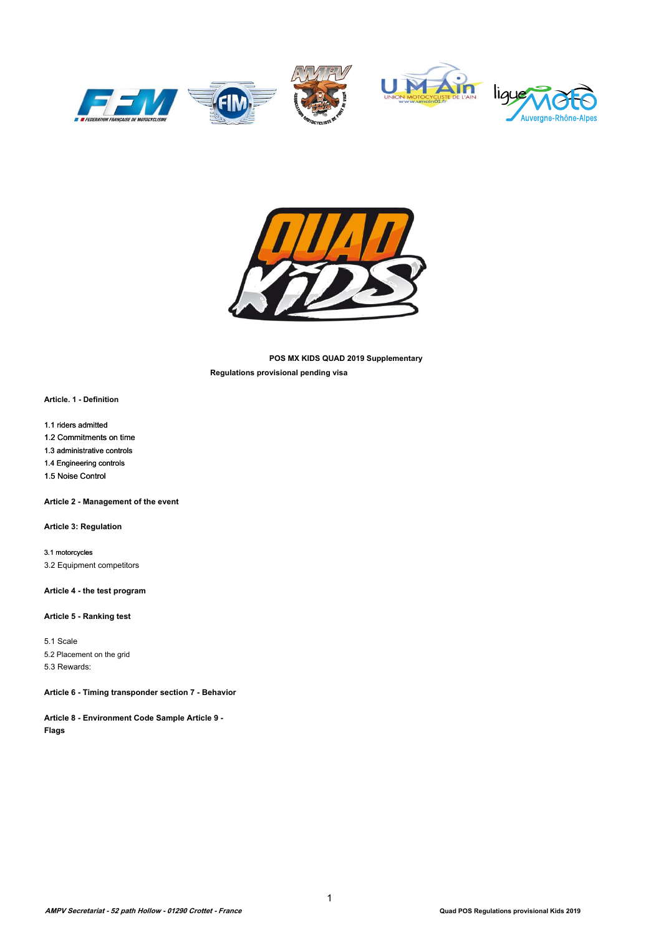





**POS MX KIDS QUAD 2019 Supplementary Regulations provisional pending visa** 

**Article. 1 - Definition**

1.1 riders admitted

1.2 Commitments on time

1.3 administrative controls

1.4 Engineering controls

1.5 Noise Control

**Article 2 - Management of the event**

**Article 3: Regulation** 

3.1 motorcycles 3.2 Equipment competitors

**Article 4 - the test program** 

## **Article 5 - Ranking test**

5.1 Scale 5.2 Placement on the grid 5.3 Rewards:

**Article 6 - Timing transponder section 7 - Behavior** 

**Article 8 - Environment Code Sample Article 9 - Flags**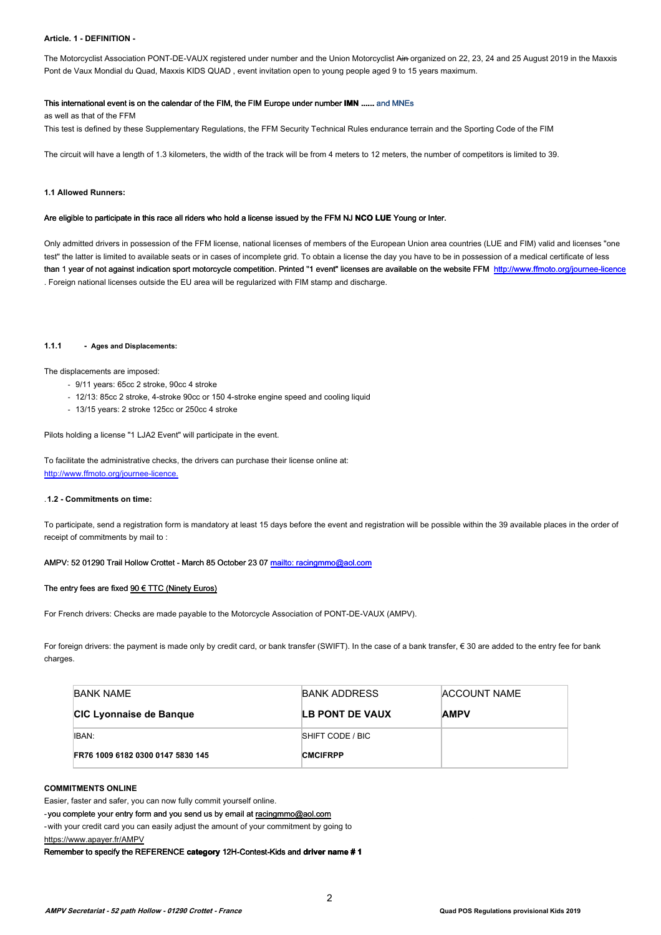#### **Article. 1 - DEFINITION -**

The Motorcyclist Association PONT-DE-VAUX registered under number and the Union Motorcyclist Ain organized on 22, 23, 24 and 25 August 2019 in the Maxxis Pont de Vaux Mondial du Quad, Maxxis KIDS QUAD , event invitation open to young people aged 9 to 15 years maximum.

## This international event is on the calendar of the FIM, the FIM Europe under number **IMN ......** and MNEs

as well as that of the FFM

This test is defined by these Supplementary Regulations, the FFM Security Technical Rules endurance terrain and the Sporting Code of the FIM

The circuit will have a length of 1.3 kilometers, the width of the track will be from 4 meters to 12 meters, the number of competitors is limited to 39.

#### **1.1 Allowed Runners:**

#### Are eligible to participate in this race all riders who hold a license issued by the FFM NJ **NCO LUE** Young or Inter.

Only admitted drivers in possession of the FFM license, national licenses of members of the European Union area countries (LUE and FIM) valid and licenses "one test" the latter is limited to available seats or in cases of incomplete grid. To obtain a license the day you have to be in possession of a medical certificate of less than 1 year of not against indication sport motorcycle competition. Printed "1 event" licenses are available on the website FFM http://www.ffmoto.org/journee-licence . Foreign national licenses outside the EU area will be regularized with FIM stamp and discharge.

#### **1.1.1 - Ages and Displacements:**

#### The displacements are imposed:

- 9/11 years: 65cc 2 stroke, 90cc 4 stroke
- 12/13: 85cc 2 stroke, 4-stroke 90cc or 150 4-stroke engine speed and cooling liquid
- 13/15 years: 2 stroke 125cc or 250cc 4 stroke

Pilots holding a license "1 LJA2 Event" will participate in the event.

To facilitate the administrative checks, the drivers can purchase their license online at: <http://www.ffmoto.org/journee-licence.>

#### .**1.2 - Commitments on time:**

To participate, send a registration form is mandatory at least 15 days before the event and registration will be possible within the 39 available places in the order of receipt of commitments by mail to :

#### AMPV: 52 01290 Trail Hollow Crottet - March 85 October 23 07 mailto: racingmmo@aol[.com](mailto:racingmmo@aol.com)

## The entry fees are fixed  $90 \text{ } \in$  TTC (Ninety Euros)

For French drivers: Checks are made payable to the Motorcycle Association of PONT-DE-VAUX (AMPV).

For foreign drivers: the payment is made only by credit card, or bank transfer (SWIFT). In the case of a bank transfer, € 30 are added to the entry fee for bank charges.

| <b>BANK NAME</b>                  | <b>BANK ADDRESS</b> | ACCOUNT NAME |
|-----------------------------------|---------------------|--------------|
| <b>CIC Lyonnaise de Banque</b>    | LB PONT DE VAUX     | <b>AMPV</b>  |
| IBAN:                             | SHIFT CODE / BIC    |              |
| FR76 1009 6182 0300 0147 5830 145 | <b>CMCIFRPP</b>     |              |

#### **COMMITMENTS ONLINE**

Easier, faster and safer, you can now fully commit yourself online.

- you complete your entry form and you send us by email at racingmmo@aol.com

-with your credit card you can easily adjust the amount of your commitment by going to <https://www.apayer.fr/AMPV>

Remember to specify the REFERENCE **category** 12H-Contest-Kids and **driver name # 1**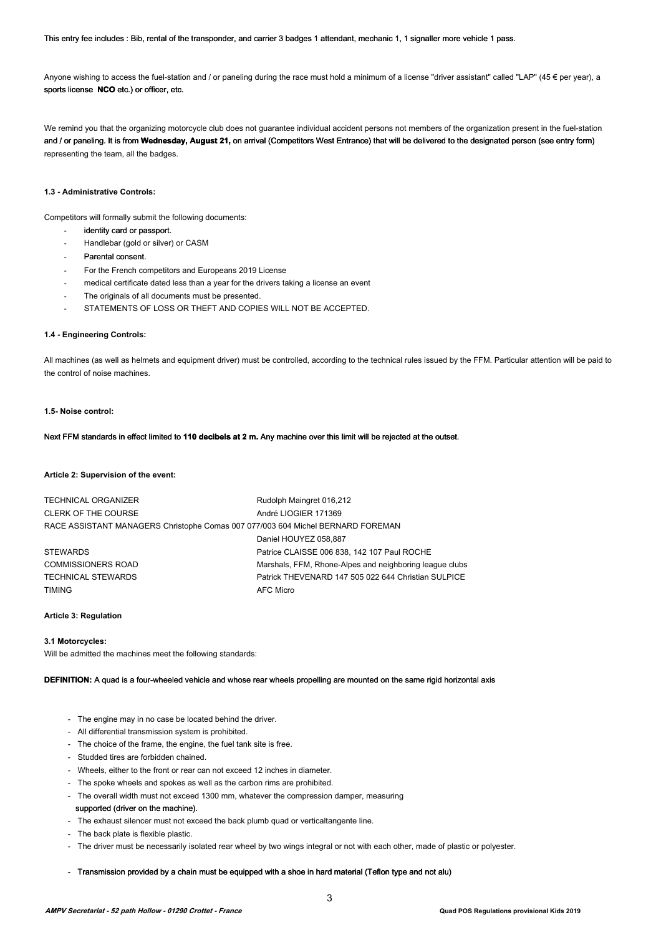This entry fee includes : Bib, rental of the transponder, and carrier 3 badges 1 attendant, mechanic 1, 1 signaller more vehicle 1 pass.

Anyone wishing to access the fuel-station and / or paneling during the race must hold a minimum of a license "driver assistant" called "LAP" (45  $\epsilon$  per year), a sports license **NCO** etc.) or officer, etc.

We remind you that the organizing motorcycle club does not guarantee individual accident persons not members of the organization present in the fuel-station and / or paneling. It is from **Wednesday, August 21,** on arrival (Competitors West Entrance) that will be delivered to the designated person (see entry form) representing the team, all the badges.

## **1.3 - Administrative Controls:**

Competitors will formally submit the following documents:

- identity card or passport.
- Handlebar (gold or silver) or CASM
- Parental consent.
- For the French competitors and Europeans 2019 License
- medical certificate dated less than a year for the drivers taking a license an event
- The originals of all documents must be presented.
- STATEMENTS OF LOSS OR THEFT AND COPIES WILL NOT BE ACCEPTED.

## **1.4 - Engineering Controls:**

All machines (as well as helmets and equipment driver) must be controlled, according to the technical rules issued by the FFM. Particular attention will be paid to the control of noise machines.

#### **1.5- Noise control:**

#### Next FFM standards in effect limited to **110 decibels at 2 m.** Any machine over this limit will be rejected at the outset.

#### **Article 2: Supervision of the event:**

| <b>TECHNICAL ORGANIZER</b>                                                      | Rudolph Maingret 016,212                                |
|---------------------------------------------------------------------------------|---------------------------------------------------------|
| <b>CLERK OF THE COURSE</b>                                                      | André LIOGIER 171369                                    |
| RACE ASSISTANT MANAGERS Christophe Comas 007 077/003 604 Michel BERNARD FOREMAN |                                                         |
|                                                                                 | Daniel HOUYEZ 058.887                                   |
| <b>STEWARDS</b>                                                                 | Patrice CLAISSE 006 838, 142 107 Paul ROCHE             |
| <b>COMMISSIONERS ROAD</b>                                                       | Marshals, FFM, Rhone-Alpes and neighboring league clubs |
| <b>TECHNICAL STEWARDS</b>                                                       | Patrick THEVENARD 147 505 022 644 Christian SULPICE     |
| <b>TIMING</b>                                                                   | <b>AFC Micro</b>                                        |

#### **Article 3: Regulation**

#### **3.1 Motorcycles:**

Will be admitted the machines meet the following standards:

**DEFINITION:** A quad is a four-wheeled vehicle and whose rear wheels propelling are mounted on the same rigid horizontal axis

- The engine may in no case be located behind the driver.
- All differential transmission system is prohibited.
- The choice of the frame, the engine, the fuel tank site is free.
- Studded tires are forbidden chained.
- Wheels, either to the front or rear can not exceed 12 inches in diameter.
- The spoke wheels and spokes as well as the carbon rims are prohibited.
- The overall width must not exceed 1300 mm, whatever the compression damper, measuring supported (driver on the machine).
- The exhaust silencer must not exceed the back plumb quad or verticaltangente line.
- The back plate is flexible plastic.
- The driver must be necessarily isolated rear wheel by two wings integral or not with each other, made of plastic or polyester.
- Transmission provided by a chain must be equipped with a shoe in hard material (Teflon type and not alu)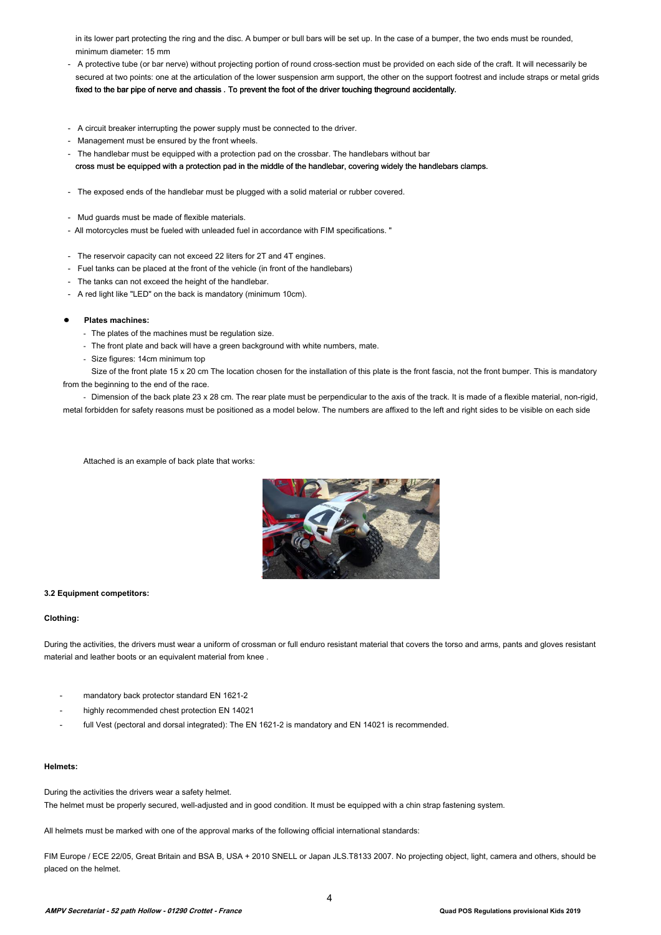in its lower part protecting the ring and the disc. A bumper or bull bars will be set up. In the case of a bumper, the two ends must be rounded, minimum diameter: 15 mm

- A protective tube (or bar nerve) without projecting portion of round cross-section must be provided on each side of the craft. It will necessarily be secured at two points: one at the articulation of the lower suspension arm support, the other on the support footrest and include straps or metal grids fixed to the bar pipe of nerve and chassis . To prevent the foot of the driver touching theground accidentally.
- A circuit breaker interrupting the power supply must be connected to the driver.
- Management must be ensured by the front wheels.
- The handlebar must be equipped with a protection pad on the crossbar. The handlebars without bar cross must be equipped with a protection pad in the middle of the handlebar, covering widely the handlebars clamps.
- The exposed ends of the handlebar must be plugged with a solid material or rubber covered.
- Mud guards must be made of flexible materials.
- All motorcycles must be fueled with unleaded fuel in accordance with FIM specifications. "
- The reservoir capacity can not exceed 22 liters for 2T and 4T engines.
- Fuel tanks can be placed at the front of the vehicle (in front of the handlebars)
- The tanks can not exceed the height of the handlebar.
- A red light like "LED" on the back is mandatory (minimum 10cm).

#### **Plates machines:**

- The plates of the machines must be regulation size.
- The front plate and back will have a green background with white numbers, mate.
- Size figures: 14cm minimum top

Size of the front plate 15 x 20 cm The location chosen for the installation of this plate is the front fascia, not the front bumper. This is mandatory from the beginning to the end of the race.

- Dimension of the back plate 23 x 28 cm. The rear plate must be perpendicular to the axis of the track. It is made of a flexible material, non-rigid, metal forbidden for safety reasons must be positioned as a model below. The numbers are affixed to the left and right sides to be visible on each side

Attached is an example of back plate that works:



#### **3.2 Equipment competitors:**

#### **Clothing:**

During the activities, the drivers must wear a uniform of crossman or full enduro resistant material that covers the torso and arms, pants and gloves resistant material and leather boots or an equivalent material from knee .

- mandatory back protector standard EN 1621-2
- highly recommended chest protection EN 14021
- full Vest (pectoral and dorsal integrated): The EN 1621-2 is mandatory and EN 14021 is recommended.

## **Helmets:**

During the activities the drivers wear a safety helmet. The helmet must be properly secured, well-adjusted and in good condition. It must be equipped with a chin strap fastening system.

All helmets must be marked with one of the approval marks of the following official international standards:

FIM Europe / ECE 22/05, Great Britain and BSA B, USA + 2010 SNELL or Japan JLS.T8133 2007. No projecting object, light, camera and others, should be placed on the helmet.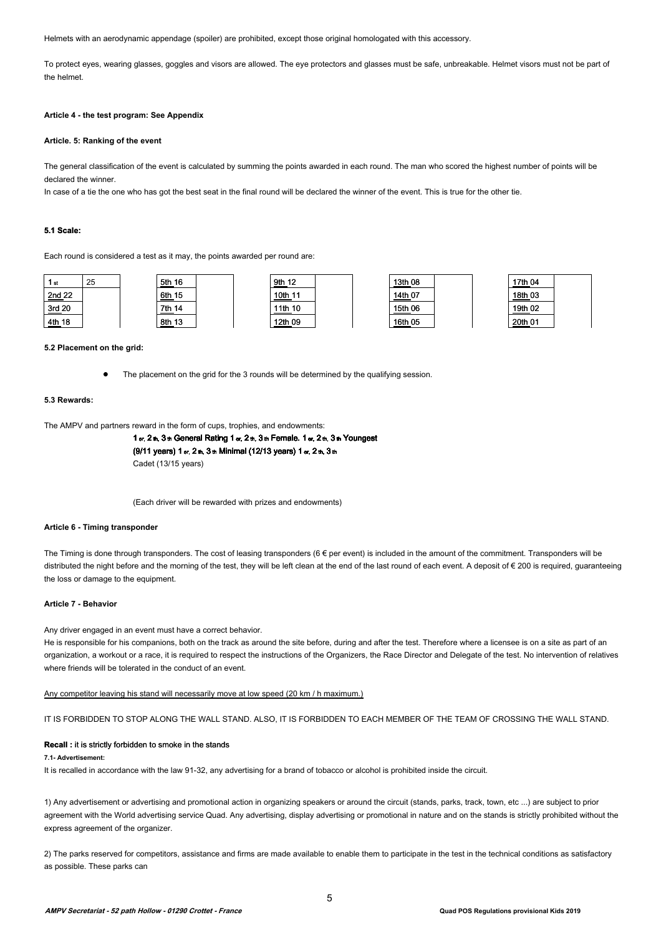Helmets with an aerodynamic appendage (spoiler) are prohibited, except those original homologated with this accessory.

To protect eyes, wearing glasses, goggles and visors are allowed. The eye protectors and glasses must be safe, unbreakable. Helmet visors must not be part of the helmet.

#### **Article 4 - the test program: See Appendix**

#### **Article. 5: Ranking of the event**

The general classification of the event is calculated by summing the points awarded in each round. The man who scored the highest number of points will be declared the winner.

In case of a tie the one who has got the best seat in the final round will be declared the winner of the event. This is true for the other tie.

#### **5.1 Scale:**

Each round is considered a test as it may, the points awarded per round are:

| 1st    | 25 | 5th 16 |  | 9th 12  |  | 13th 08 |  | 17th 04 |  |
|--------|----|--------|--|---------|--|---------|--|---------|--|
| 2nd 22 |    | 6th 15 |  | 10th 11 |  | 14th 07 |  | 18th 03 |  |
| 3rd 20 |    | 7th 14 |  | 11th 10 |  | 15th 06 |  | 19th 02 |  |
| 4th 18 |    | 8th 13 |  | 12th 09 |  | 16th 05 |  | 20th 01 |  |

#### **5.2 Placement on the grid:**

The placement on the grid for the 3 rounds will be determined by the qualifying session.

#### **5.3 Rewards:**

The AMPV and partners reward in the form of cups, trophies, and endowments:

```
1 er, 2th, 3th General Rating 1 er, 2th, 3th Female. 1 er, 2th, 3th Youngest
(9/11 years) 1 er, 2 th, 3 th Minimal (12/13 years) 1 er, 2 th, 3 th
Cadet (13/15 years)
```
(Each driver will be rewarded with prizes and endowments)

## **Article 6 - Timing transponder**

The Timing is done through transponders. The cost of leasing transponders (6 € per event) is included in the amount of the commitment. Transponders will be distributed the night before and the morning of the test, they will be left clean at the end of the last round of each event. A deposit of € 200 is required, guaranteeing the loss or damage to the equipment.

#### **Article 7 - Behavior**

Any driver engaged in an event must have a correct behavior.

He is responsible for his companions, both on the track as around the site before, during and after the test. Therefore where a licensee is on a site as part of an organization, a workout or a race, it is required to respect the instructions of the Organizers, the Race Director and Delegate of the test. No intervention of relatives where friends will be tolerated in the conduct of an event.

#### Any competitor leaving his stand will necessarily move at low speed (20 km / h maximum.)

IT IS FORBIDDEN TO STOP ALONG THE WALL STAND. ALSO, IT IS FORBIDDEN TO EACH MEMBER OF THE TEAM OF CROSSING THE WALL STAND.

#### **Recall :** it is strictly forbidden to smoke in the stands

## **7.1- Advertisement:**

It is recalled in accordance with the law 91-32, any advertising for a brand of tobacco or alcohol is prohibited inside the circuit.

1) Any advertisement or advertising and promotional action in organizing speakers or around the circuit (stands, parks, track, town, etc ...) are subject to prior agreement with the World advertising service Quad. Any advertising, display advertising or promotional in nature and on the stands is strictly prohibited without the express agreement of the organizer.

2) The parks reserved for competitors, assistance and firms are made available to enable them to participate in the test in the technical conditions as satisfactory as possible. These parks can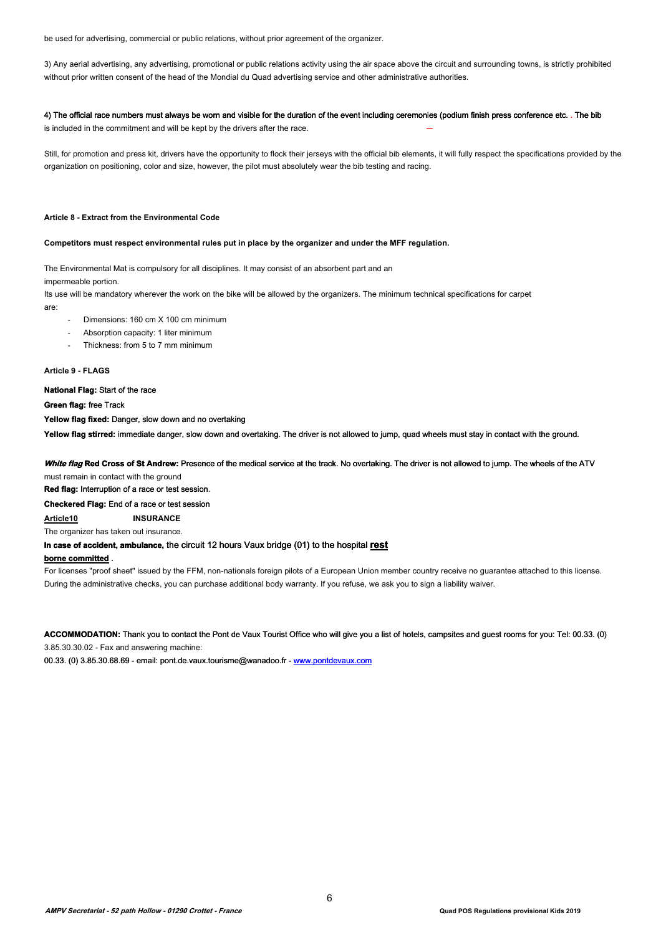be used for advertising, commercial or public relations, without prior agreement of the organizer.

3) Any aerial advertising, any advertising, promotional or public relations activity using the air space above the circuit and surrounding towns, is strictly prohibited without prior written consent of the head of the Mondial du Quad advertising service and other administrative authorities.

## 4) The official race numbers must always be worn and visible for the duration of the event including ceremonies (podium finish press conference etc. . The bib

is included in the commitment and will be kept by the drivers after the race.

Still, for promotion and press kit, drivers have the opportunity to flock their jerseys with the official bib elements, it will fully respect the specifications provided by the organization on positioning, color and size, however, the pilot must absolutely wear the bib testing and racing.

#### **Article 8 - Extract from the Environmental Code**

#### **Competitors must respect environmental rules put in place by the organizer and under the MFF regulation.**

The Environmental Mat is compulsory for all disciplines. It may consist of an absorbent part and an

impermeable portion.

Its use will be mandatory wherever the work on the bike will be allowed by the organizers. The minimum technical specifications for carpet are:

- Dimensions: 160 cm X 100 cm minimum
- Absorption capacity: 1 liter minimum
- Thickness: from 5 to 7 mm minimum

#### **Article 9 - FLAGS**

**National Flag:** Start of the race

**Green flag:** free Track

**Yellow flag fixed:** Danger, slow down and no overtaking

Yellow flag stirred: immediate danger, slow down and overtaking. The driver is not allowed to jump, quad wheels must stay in contact with the ground.

## **White flag Red Cross of St Andrew:** Presence of the medical service at the track. No overtaking. The driver is not allowed to jump. The wheels of the ATV must remain in contact with the ground

**Red flag:** Interruption of a race or test session.

**Checkered Flag:** End of a race or test session

**Article10 INSURANCE** 

The organizer has taken out insurance.

## **In case of accident, ambulance,** the circuit 12 hours Vaux bridge (01) to the hospital **rest**

## **borne committed** .

For licenses "proof sheet" issued by the FFM, non-nationals foreign pilots of a European Union member country receive no guarantee attached to this license. During the administrative checks, you can purchase additional body warranty. If you refuse, we ask you to sign a liability waiver.

**ACCOMMODATION:** Thank you to contact the Pont de Vaux Tourist Office who will give you a list of hotels, campsites and guest rooms for you: Tel: 00.33. (0) 3.85.30.30.02 - Fax and answering machine:

00.33. (0) 3.85.30.68.69 - email: pont.de.vaux.tourisme@wanadoo.fr - www.pontdevaux.com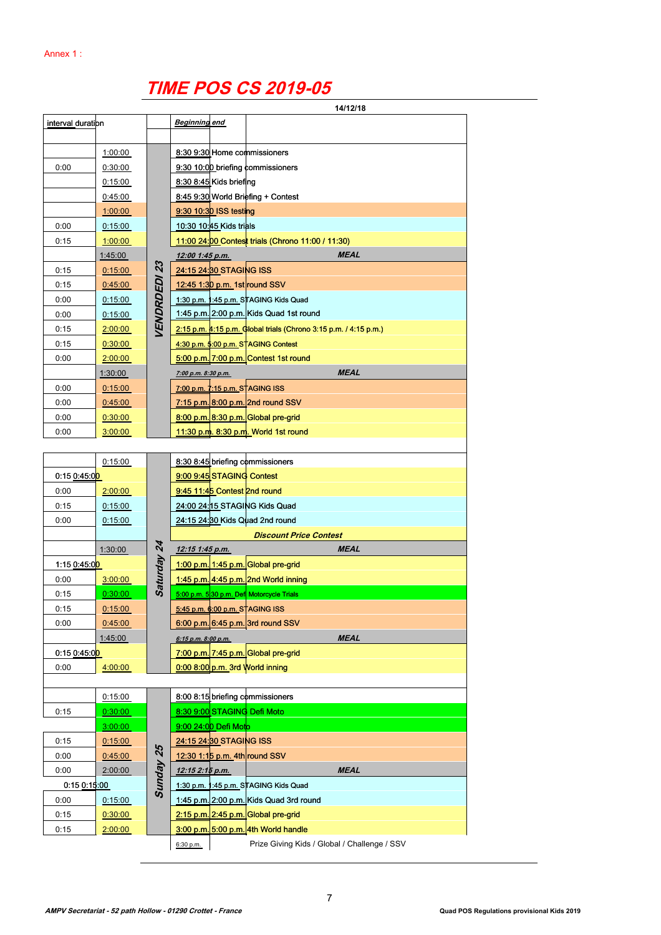# **TIME POS CS 2019-05**

| interval duration<br><b>Beginning end</b><br>8:30 9:30 Home commissioners<br>1:00:00<br>0:00<br>9:30 10:00 briefing commissioners<br>0:30:00<br>0:15:00<br>8:30 8:45 Kids briefing<br>8:45 9:30 World Briefing + Contest<br>0:45:00<br>9:30 10:30 ISS testing<br>1:00:00<br>0:00<br>10:30 10:45 Kids trials<br>0:15:00<br>0:15<br>11:00 24:00 Contest trials (Chrono 11:00 / 11:30)<br>1:00:00<br><b>MEAL</b><br>1:45:00<br>12:00 1:45 p.m.<br><i>VENDRDEDI 23</i><br>24:15 24:30 STAGING ISS<br>0:15<br>0:15:00<br>12:45 1:30 p.m. 1st round SSV<br>0:15<br>0:45:00<br>1:30 p.m. 1:45 p.m. STAGING Kids Quad<br>0:00<br>0:15:00<br>1:45 p.m. 2:00 p.m. Kids Quad 1st round<br>0:00<br>0:15:00<br>2:15 p.m. 4:15 p.m. Global trials (Chrono 3:15 p.m. / 4:15 p.m.)<br>0:15<br>2:00:00<br>0:15<br>4:30 p.m. 5:00 p.m. STAGING Contest<br>0:30:00<br>5:00 p.m. 7:00 p.m. Contest 1st round<br>0:00<br>2:00:00<br><b>MEAL</b><br>1:30:00<br>7:00 p.m. 8:30 p.m.<br>0:00<br>7:00 p.m. 7:15 p.m. STAGING ISS<br>0:15:00<br>7:15 p.m. 8:00 p.m. 2nd round SSV<br>0:00<br>0:45:00<br>8:00 p.m. 8:30 p.m. Global pre-grid<br>0:00<br>0:30:00<br>11:30 p.m. 8:30 p.m. World 1st round<br>0:00<br>3:00:00<br>8:30 8:45 briefing commissioners<br>0:15:00<br>9:00 9:45 STAGING Contest<br>0.150.45.00<br>0:00<br>9:45 11:45 Contest 2nd round<br>2:00:00<br>24:00 24:15 STAGING Kids Quad<br>0:15<br>0:15:00<br>0:00<br>24:15 24:30 Kids Quad 2nd round<br>0:15:00<br><b>Discount Price Contest</b><br>Saturday 24<br><b>MEAL</b><br>12:15 1:45 p.m.<br>1:30:00<br>1:00 p.m. 1:45 p.m. Global pre-grid<br>1:15 0:45:0 <mark>0</mark><br>1:45 p.m. 4:45 p.m. 2nd World inning<br>0:00<br>3:00:00<br>0:15<br>0:30:00<br>5:00 p.m. 5 30 p.m. Defi Motorcycle Trials<br>5:45 p.m. 6:00 p.m. STAGING ISS<br>0:15<br>0:15:00<br>0:45:00<br>6:00 p.m. 6:45 p.m. 3rd round SSV<br>0:00<br>1:45:00<br><b>MEAL</b><br>6:15 p.m. 8:00 p.m.<br>7:00 p.m. 7:45 p.m. Global pre-grid<br>$0.150.45.0$ <sup>D</sup><br>$0.008:00$ p.m. 3rd World inning<br>4:00:00<br>0:00<br>8:00 8:15 briefing commissioners<br>0:15:00<br>8:30 9:00 STAGING Defi Moto<br>0:30:00<br>0:15<br>9:00 24:00 Defi Moto<br>3:00:00<br>24:15 24:30 STAGING ISS<br>0:15<br>0:15:00<br>Sunday 25<br>12:30 1:15 p.m. 4th round SSV<br>0:00<br>0.45:00<br>2:00:00<br>0:00<br>12:15 2:15 p.m.<br><b>MEAL</b><br>1:30 p.m. 1:45 p.m. STAGING Kids Quad<br>$0:15$ $0:15.00$<br>1:45 p.m. 2:00 p.m. Kids Quad 3rd round<br>0:00<br>0:15:00<br>2:15 p.m. 2:45 p.m. Global pre-grid<br>0:15<br>0:30:00<br>$3:00$ p.m. $5:00$ p.m. 4th World handle<br>0:15<br>2:00:00<br>Prize Giving Kids / Global / Challenge / SSV<br>6:30 p.m. |  |  | 14/12/18 |
|--------------------------------------------------------------------------------------------------------------------------------------------------------------------------------------------------------------------------------------------------------------------------------------------------------------------------------------------------------------------------------------------------------------------------------------------------------------------------------------------------------------------------------------------------------------------------------------------------------------------------------------------------------------------------------------------------------------------------------------------------------------------------------------------------------------------------------------------------------------------------------------------------------------------------------------------------------------------------------------------------------------------------------------------------------------------------------------------------------------------------------------------------------------------------------------------------------------------------------------------------------------------------------------------------------------------------------------------------------------------------------------------------------------------------------------------------------------------------------------------------------------------------------------------------------------------------------------------------------------------------------------------------------------------------------------------------------------------------------------------------------------------------------------------------------------------------------------------------------------------------------------------------------------------------------------------------------------------------------------------------------------------------------------------------------------------------------------------------------------------------------------------------------------------------------------------------------------------------------------------------------------------------------------------------------------------------------------------------------------------------------------------------------------------------------------------------------------------------------------------------------------------------------------------------------------------------------------------------------------------------------------------------------------------------|--|--|----------|
|                                                                                                                                                                                                                                                                                                                                                                                                                                                                                                                                                                                                                                                                                                                                                                                                                                                                                                                                                                                                                                                                                                                                                                                                                                                                                                                                                                                                                                                                                                                                                                                                                                                                                                                                                                                                                                                                                                                                                                                                                                                                                                                                                                                                                                                                                                                                                                                                                                                                                                                                                                                                                                                                          |  |  |          |
|                                                                                                                                                                                                                                                                                                                                                                                                                                                                                                                                                                                                                                                                                                                                                                                                                                                                                                                                                                                                                                                                                                                                                                                                                                                                                                                                                                                                                                                                                                                                                                                                                                                                                                                                                                                                                                                                                                                                                                                                                                                                                                                                                                                                                                                                                                                                                                                                                                                                                                                                                                                                                                                                          |  |  |          |
|                                                                                                                                                                                                                                                                                                                                                                                                                                                                                                                                                                                                                                                                                                                                                                                                                                                                                                                                                                                                                                                                                                                                                                                                                                                                                                                                                                                                                                                                                                                                                                                                                                                                                                                                                                                                                                                                                                                                                                                                                                                                                                                                                                                                                                                                                                                                                                                                                                                                                                                                                                                                                                                                          |  |  |          |
|                                                                                                                                                                                                                                                                                                                                                                                                                                                                                                                                                                                                                                                                                                                                                                                                                                                                                                                                                                                                                                                                                                                                                                                                                                                                                                                                                                                                                                                                                                                                                                                                                                                                                                                                                                                                                                                                                                                                                                                                                                                                                                                                                                                                                                                                                                                                                                                                                                                                                                                                                                                                                                                                          |  |  |          |
|                                                                                                                                                                                                                                                                                                                                                                                                                                                                                                                                                                                                                                                                                                                                                                                                                                                                                                                                                                                                                                                                                                                                                                                                                                                                                                                                                                                                                                                                                                                                                                                                                                                                                                                                                                                                                                                                                                                                                                                                                                                                                                                                                                                                                                                                                                                                                                                                                                                                                                                                                                                                                                                                          |  |  |          |
|                                                                                                                                                                                                                                                                                                                                                                                                                                                                                                                                                                                                                                                                                                                                                                                                                                                                                                                                                                                                                                                                                                                                                                                                                                                                                                                                                                                                                                                                                                                                                                                                                                                                                                                                                                                                                                                                                                                                                                                                                                                                                                                                                                                                                                                                                                                                                                                                                                                                                                                                                                                                                                                                          |  |  |          |
|                                                                                                                                                                                                                                                                                                                                                                                                                                                                                                                                                                                                                                                                                                                                                                                                                                                                                                                                                                                                                                                                                                                                                                                                                                                                                                                                                                                                                                                                                                                                                                                                                                                                                                                                                                                                                                                                                                                                                                                                                                                                                                                                                                                                                                                                                                                                                                                                                                                                                                                                                                                                                                                                          |  |  |          |
|                                                                                                                                                                                                                                                                                                                                                                                                                                                                                                                                                                                                                                                                                                                                                                                                                                                                                                                                                                                                                                                                                                                                                                                                                                                                                                                                                                                                                                                                                                                                                                                                                                                                                                                                                                                                                                                                                                                                                                                                                                                                                                                                                                                                                                                                                                                                                                                                                                                                                                                                                                                                                                                                          |  |  |          |
|                                                                                                                                                                                                                                                                                                                                                                                                                                                                                                                                                                                                                                                                                                                                                                                                                                                                                                                                                                                                                                                                                                                                                                                                                                                                                                                                                                                                                                                                                                                                                                                                                                                                                                                                                                                                                                                                                                                                                                                                                                                                                                                                                                                                                                                                                                                                                                                                                                                                                                                                                                                                                                                                          |  |  |          |
|                                                                                                                                                                                                                                                                                                                                                                                                                                                                                                                                                                                                                                                                                                                                                                                                                                                                                                                                                                                                                                                                                                                                                                                                                                                                                                                                                                                                                                                                                                                                                                                                                                                                                                                                                                                                                                                                                                                                                                                                                                                                                                                                                                                                                                                                                                                                                                                                                                                                                                                                                                                                                                                                          |  |  |          |
|                                                                                                                                                                                                                                                                                                                                                                                                                                                                                                                                                                                                                                                                                                                                                                                                                                                                                                                                                                                                                                                                                                                                                                                                                                                                                                                                                                                                                                                                                                                                                                                                                                                                                                                                                                                                                                                                                                                                                                                                                                                                                                                                                                                                                                                                                                                                                                                                                                                                                                                                                                                                                                                                          |  |  |          |
|                                                                                                                                                                                                                                                                                                                                                                                                                                                                                                                                                                                                                                                                                                                                                                                                                                                                                                                                                                                                                                                                                                                                                                                                                                                                                                                                                                                                                                                                                                                                                                                                                                                                                                                                                                                                                                                                                                                                                                                                                                                                                                                                                                                                                                                                                                                                                                                                                                                                                                                                                                                                                                                                          |  |  |          |
|                                                                                                                                                                                                                                                                                                                                                                                                                                                                                                                                                                                                                                                                                                                                                                                                                                                                                                                                                                                                                                                                                                                                                                                                                                                                                                                                                                                                                                                                                                                                                                                                                                                                                                                                                                                                                                                                                                                                                                                                                                                                                                                                                                                                                                                                                                                                                                                                                                                                                                                                                                                                                                                                          |  |  |          |
|                                                                                                                                                                                                                                                                                                                                                                                                                                                                                                                                                                                                                                                                                                                                                                                                                                                                                                                                                                                                                                                                                                                                                                                                                                                                                                                                                                                                                                                                                                                                                                                                                                                                                                                                                                                                                                                                                                                                                                                                                                                                                                                                                                                                                                                                                                                                                                                                                                                                                                                                                                                                                                                                          |  |  |          |
|                                                                                                                                                                                                                                                                                                                                                                                                                                                                                                                                                                                                                                                                                                                                                                                                                                                                                                                                                                                                                                                                                                                                                                                                                                                                                                                                                                                                                                                                                                                                                                                                                                                                                                                                                                                                                                                                                                                                                                                                                                                                                                                                                                                                                                                                                                                                                                                                                                                                                                                                                                                                                                                                          |  |  |          |
|                                                                                                                                                                                                                                                                                                                                                                                                                                                                                                                                                                                                                                                                                                                                                                                                                                                                                                                                                                                                                                                                                                                                                                                                                                                                                                                                                                                                                                                                                                                                                                                                                                                                                                                                                                                                                                                                                                                                                                                                                                                                                                                                                                                                                                                                                                                                                                                                                                                                                                                                                                                                                                                                          |  |  |          |
|                                                                                                                                                                                                                                                                                                                                                                                                                                                                                                                                                                                                                                                                                                                                                                                                                                                                                                                                                                                                                                                                                                                                                                                                                                                                                                                                                                                                                                                                                                                                                                                                                                                                                                                                                                                                                                                                                                                                                                                                                                                                                                                                                                                                                                                                                                                                                                                                                                                                                                                                                                                                                                                                          |  |  |          |
|                                                                                                                                                                                                                                                                                                                                                                                                                                                                                                                                                                                                                                                                                                                                                                                                                                                                                                                                                                                                                                                                                                                                                                                                                                                                                                                                                                                                                                                                                                                                                                                                                                                                                                                                                                                                                                                                                                                                                                                                                                                                                                                                                                                                                                                                                                                                                                                                                                                                                                                                                                                                                                                                          |  |  |          |
|                                                                                                                                                                                                                                                                                                                                                                                                                                                                                                                                                                                                                                                                                                                                                                                                                                                                                                                                                                                                                                                                                                                                                                                                                                                                                                                                                                                                                                                                                                                                                                                                                                                                                                                                                                                                                                                                                                                                                                                                                                                                                                                                                                                                                                                                                                                                                                                                                                                                                                                                                                                                                                                                          |  |  |          |
|                                                                                                                                                                                                                                                                                                                                                                                                                                                                                                                                                                                                                                                                                                                                                                                                                                                                                                                                                                                                                                                                                                                                                                                                                                                                                                                                                                                                                                                                                                                                                                                                                                                                                                                                                                                                                                                                                                                                                                                                                                                                                                                                                                                                                                                                                                                                                                                                                                                                                                                                                                                                                                                                          |  |  |          |
|                                                                                                                                                                                                                                                                                                                                                                                                                                                                                                                                                                                                                                                                                                                                                                                                                                                                                                                                                                                                                                                                                                                                                                                                                                                                                                                                                                                                                                                                                                                                                                                                                                                                                                                                                                                                                                                                                                                                                                                                                                                                                                                                                                                                                                                                                                                                                                                                                                                                                                                                                                                                                                                                          |  |  |          |
|                                                                                                                                                                                                                                                                                                                                                                                                                                                                                                                                                                                                                                                                                                                                                                                                                                                                                                                                                                                                                                                                                                                                                                                                                                                                                                                                                                                                                                                                                                                                                                                                                                                                                                                                                                                                                                                                                                                                                                                                                                                                                                                                                                                                                                                                                                                                                                                                                                                                                                                                                                                                                                                                          |  |  |          |
|                                                                                                                                                                                                                                                                                                                                                                                                                                                                                                                                                                                                                                                                                                                                                                                                                                                                                                                                                                                                                                                                                                                                                                                                                                                                                                                                                                                                                                                                                                                                                                                                                                                                                                                                                                                                                                                                                                                                                                                                                                                                                                                                                                                                                                                                                                                                                                                                                                                                                                                                                                                                                                                                          |  |  |          |
|                                                                                                                                                                                                                                                                                                                                                                                                                                                                                                                                                                                                                                                                                                                                                                                                                                                                                                                                                                                                                                                                                                                                                                                                                                                                                                                                                                                                                                                                                                                                                                                                                                                                                                                                                                                                                                                                                                                                                                                                                                                                                                                                                                                                                                                                                                                                                                                                                                                                                                                                                                                                                                                                          |  |  |          |
|                                                                                                                                                                                                                                                                                                                                                                                                                                                                                                                                                                                                                                                                                                                                                                                                                                                                                                                                                                                                                                                                                                                                                                                                                                                                                                                                                                                                                                                                                                                                                                                                                                                                                                                                                                                                                                                                                                                                                                                                                                                                                                                                                                                                                                                                                                                                                                                                                                                                                                                                                                                                                                                                          |  |  |          |
|                                                                                                                                                                                                                                                                                                                                                                                                                                                                                                                                                                                                                                                                                                                                                                                                                                                                                                                                                                                                                                                                                                                                                                                                                                                                                                                                                                                                                                                                                                                                                                                                                                                                                                                                                                                                                                                                                                                                                                                                                                                                                                                                                                                                                                                                                                                                                                                                                                                                                                                                                                                                                                                                          |  |  |          |
|                                                                                                                                                                                                                                                                                                                                                                                                                                                                                                                                                                                                                                                                                                                                                                                                                                                                                                                                                                                                                                                                                                                                                                                                                                                                                                                                                                                                                                                                                                                                                                                                                                                                                                                                                                                                                                                                                                                                                                                                                                                                                                                                                                                                                                                                                                                                                                                                                                                                                                                                                                                                                                                                          |  |  |          |
|                                                                                                                                                                                                                                                                                                                                                                                                                                                                                                                                                                                                                                                                                                                                                                                                                                                                                                                                                                                                                                                                                                                                                                                                                                                                                                                                                                                                                                                                                                                                                                                                                                                                                                                                                                                                                                                                                                                                                                                                                                                                                                                                                                                                                                                                                                                                                                                                                                                                                                                                                                                                                                                                          |  |  |          |
|                                                                                                                                                                                                                                                                                                                                                                                                                                                                                                                                                                                                                                                                                                                                                                                                                                                                                                                                                                                                                                                                                                                                                                                                                                                                                                                                                                                                                                                                                                                                                                                                                                                                                                                                                                                                                                                                                                                                                                                                                                                                                                                                                                                                                                                                                                                                                                                                                                                                                                                                                                                                                                                                          |  |  |          |
|                                                                                                                                                                                                                                                                                                                                                                                                                                                                                                                                                                                                                                                                                                                                                                                                                                                                                                                                                                                                                                                                                                                                                                                                                                                                                                                                                                                                                                                                                                                                                                                                                                                                                                                                                                                                                                                                                                                                                                                                                                                                                                                                                                                                                                                                                                                                                                                                                                                                                                                                                                                                                                                                          |  |  |          |
|                                                                                                                                                                                                                                                                                                                                                                                                                                                                                                                                                                                                                                                                                                                                                                                                                                                                                                                                                                                                                                                                                                                                                                                                                                                                                                                                                                                                                                                                                                                                                                                                                                                                                                                                                                                                                                                                                                                                                                                                                                                                                                                                                                                                                                                                                                                                                                                                                                                                                                                                                                                                                                                                          |  |  |          |
|                                                                                                                                                                                                                                                                                                                                                                                                                                                                                                                                                                                                                                                                                                                                                                                                                                                                                                                                                                                                                                                                                                                                                                                                                                                                                                                                                                                                                                                                                                                                                                                                                                                                                                                                                                                                                                                                                                                                                                                                                                                                                                                                                                                                                                                                                                                                                                                                                                                                                                                                                                                                                                                                          |  |  |          |
|                                                                                                                                                                                                                                                                                                                                                                                                                                                                                                                                                                                                                                                                                                                                                                                                                                                                                                                                                                                                                                                                                                                                                                                                                                                                                                                                                                                                                                                                                                                                                                                                                                                                                                                                                                                                                                                                                                                                                                                                                                                                                                                                                                                                                                                                                                                                                                                                                                                                                                                                                                                                                                                                          |  |  |          |
|                                                                                                                                                                                                                                                                                                                                                                                                                                                                                                                                                                                                                                                                                                                                                                                                                                                                                                                                                                                                                                                                                                                                                                                                                                                                                                                                                                                                                                                                                                                                                                                                                                                                                                                                                                                                                                                                                                                                                                                                                                                                                                                                                                                                                                                                                                                                                                                                                                                                                                                                                                                                                                                                          |  |  |          |
|                                                                                                                                                                                                                                                                                                                                                                                                                                                                                                                                                                                                                                                                                                                                                                                                                                                                                                                                                                                                                                                                                                                                                                                                                                                                                                                                                                                                                                                                                                                                                                                                                                                                                                                                                                                                                                                                                                                                                                                                                                                                                                                                                                                                                                                                                                                                                                                                                                                                                                                                                                                                                                                                          |  |  |          |
|                                                                                                                                                                                                                                                                                                                                                                                                                                                                                                                                                                                                                                                                                                                                                                                                                                                                                                                                                                                                                                                                                                                                                                                                                                                                                                                                                                                                                                                                                                                                                                                                                                                                                                                                                                                                                                                                                                                                                                                                                                                                                                                                                                                                                                                                                                                                                                                                                                                                                                                                                                                                                                                                          |  |  |          |
|                                                                                                                                                                                                                                                                                                                                                                                                                                                                                                                                                                                                                                                                                                                                                                                                                                                                                                                                                                                                                                                                                                                                                                                                                                                                                                                                                                                                                                                                                                                                                                                                                                                                                                                                                                                                                                                                                                                                                                                                                                                                                                                                                                                                                                                                                                                                                                                                                                                                                                                                                                                                                                                                          |  |  |          |
|                                                                                                                                                                                                                                                                                                                                                                                                                                                                                                                                                                                                                                                                                                                                                                                                                                                                                                                                                                                                                                                                                                                                                                                                                                                                                                                                                                                                                                                                                                                                                                                                                                                                                                                                                                                                                                                                                                                                                                                                                                                                                                                                                                                                                                                                                                                                                                                                                                                                                                                                                                                                                                                                          |  |  |          |
|                                                                                                                                                                                                                                                                                                                                                                                                                                                                                                                                                                                                                                                                                                                                                                                                                                                                                                                                                                                                                                                                                                                                                                                                                                                                                                                                                                                                                                                                                                                                                                                                                                                                                                                                                                                                                                                                                                                                                                                                                                                                                                                                                                                                                                                                                                                                                                                                                                                                                                                                                                                                                                                                          |  |  |          |
|                                                                                                                                                                                                                                                                                                                                                                                                                                                                                                                                                                                                                                                                                                                                                                                                                                                                                                                                                                                                                                                                                                                                                                                                                                                                                                                                                                                                                                                                                                                                                                                                                                                                                                                                                                                                                                                                                                                                                                                                                                                                                                                                                                                                                                                                                                                                                                                                                                                                                                                                                                                                                                                                          |  |  |          |
|                                                                                                                                                                                                                                                                                                                                                                                                                                                                                                                                                                                                                                                                                                                                                                                                                                                                                                                                                                                                                                                                                                                                                                                                                                                                                                                                                                                                                                                                                                                                                                                                                                                                                                                                                                                                                                                                                                                                                                                                                                                                                                                                                                                                                                                                                                                                                                                                                                                                                                                                                                                                                                                                          |  |  |          |
|                                                                                                                                                                                                                                                                                                                                                                                                                                                                                                                                                                                                                                                                                                                                                                                                                                                                                                                                                                                                                                                                                                                                                                                                                                                                                                                                                                                                                                                                                                                                                                                                                                                                                                                                                                                                                                                                                                                                                                                                                                                                                                                                                                                                                                                                                                                                                                                                                                                                                                                                                                                                                                                                          |  |  |          |
|                                                                                                                                                                                                                                                                                                                                                                                                                                                                                                                                                                                                                                                                                                                                                                                                                                                                                                                                                                                                                                                                                                                                                                                                                                                                                                                                                                                                                                                                                                                                                                                                                                                                                                                                                                                                                                                                                                                                                                                                                                                                                                                                                                                                                                                                                                                                                                                                                                                                                                                                                                                                                                                                          |  |  |          |
|                                                                                                                                                                                                                                                                                                                                                                                                                                                                                                                                                                                                                                                                                                                                                                                                                                                                                                                                                                                                                                                                                                                                                                                                                                                                                                                                                                                                                                                                                                                                                                                                                                                                                                                                                                                                                                                                                                                                                                                                                                                                                                                                                                                                                                                                                                                                                                                                                                                                                                                                                                                                                                                                          |  |  |          |
|                                                                                                                                                                                                                                                                                                                                                                                                                                                                                                                                                                                                                                                                                                                                                                                                                                                                                                                                                                                                                                                                                                                                                                                                                                                                                                                                                                                                                                                                                                                                                                                                                                                                                                                                                                                                                                                                                                                                                                                                                                                                                                                                                                                                                                                                                                                                                                                                                                                                                                                                                                                                                                                                          |  |  |          |
|                                                                                                                                                                                                                                                                                                                                                                                                                                                                                                                                                                                                                                                                                                                                                                                                                                                                                                                                                                                                                                                                                                                                                                                                                                                                                                                                                                                                                                                                                                                                                                                                                                                                                                                                                                                                                                                                                                                                                                                                                                                                                                                                                                                                                                                                                                                                                                                                                                                                                                                                                                                                                                                                          |  |  |          |
|                                                                                                                                                                                                                                                                                                                                                                                                                                                                                                                                                                                                                                                                                                                                                                                                                                                                                                                                                                                                                                                                                                                                                                                                                                                                                                                                                                                                                                                                                                                                                                                                                                                                                                                                                                                                                                                                                                                                                                                                                                                                                                                                                                                                                                                                                                                                                                                                                                                                                                                                                                                                                                                                          |  |  |          |
|                                                                                                                                                                                                                                                                                                                                                                                                                                                                                                                                                                                                                                                                                                                                                                                                                                                                                                                                                                                                                                                                                                                                                                                                                                                                                                                                                                                                                                                                                                                                                                                                                                                                                                                                                                                                                                                                                                                                                                                                                                                                                                                                                                                                                                                                                                                                                                                                                                                                                                                                                                                                                                                                          |  |  |          |
|                                                                                                                                                                                                                                                                                                                                                                                                                                                                                                                                                                                                                                                                                                                                                                                                                                                                                                                                                                                                                                                                                                                                                                                                                                                                                                                                                                                                                                                                                                                                                                                                                                                                                                                                                                                                                                                                                                                                                                                                                                                                                                                                                                                                                                                                                                                                                                                                                                                                                                                                                                                                                                                                          |  |  |          |
|                                                                                                                                                                                                                                                                                                                                                                                                                                                                                                                                                                                                                                                                                                                                                                                                                                                                                                                                                                                                                                                                                                                                                                                                                                                                                                                                                                                                                                                                                                                                                                                                                                                                                                                                                                                                                                                                                                                                                                                                                                                                                                                                                                                                                                                                                                                                                                                                                                                                                                                                                                                                                                                                          |  |  |          |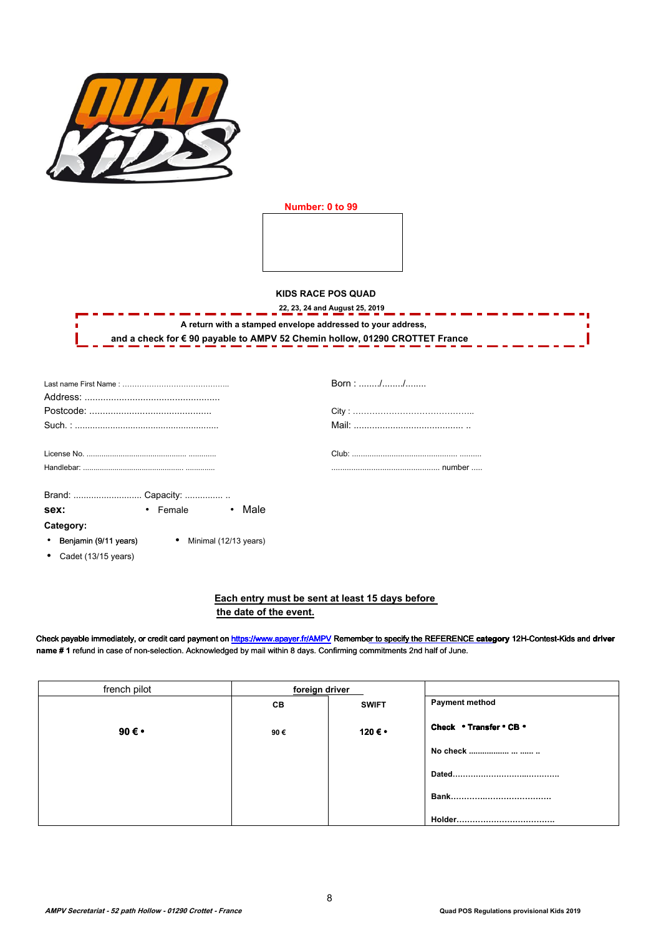

**Number: 0 to 99** 

**KIDS RACE POS QUAD** 

| A return with a stamped envelope addressed to your address,                 |  |
|-----------------------------------------------------------------------------|--|
| and a check for € 90 payable to AMPV 52 Chemin hollow, 01290 CROTTET France |  |

|                                 |                                                 | Born: // |
|---------------------------------|-------------------------------------------------|----------|
|                                 |                                                 |          |
|                                 |                                                 |          |
|                                 |                                                 |          |
|                                 |                                                 |          |
|                                 |                                                 |          |
|                                 | Brand:  Capacity:                               |          |
| sex:                            | • Female • Male                                 |          |
| Category:                       |                                                 |          |
|                                 | • Benjamin (9/11 years) • Minimal (12/13 years) |          |
| • Cadet $(13/15 \text{ years})$ |                                                 |          |

## **Each entry must be sent at least 15 days before the date of the event.**

Check payable immediately, or credit card payment on https://www.apayer.fr/AMPV Rememb[er to specify the REFERENCE](https://www.apayer.fr/AMPV) category 12H-Contest-Kids and driver **name # 1** refund in case of non-selection. Acknowledged by mail within 8 days. Confirming commitments 2nd half of June.

| french pilot  | foreign driver |              |                         |
|---------------|----------------|--------------|-------------------------|
|               | CВ             | <b>SWIFT</b> | Payment method          |
| 90 $\epsilon$ | 90€            | 120ۥ         | Check . Transfer . CB . |
|               |                |              | No check                |
|               |                |              |                         |
|               |                |              |                         |
|               |                |              |                         |